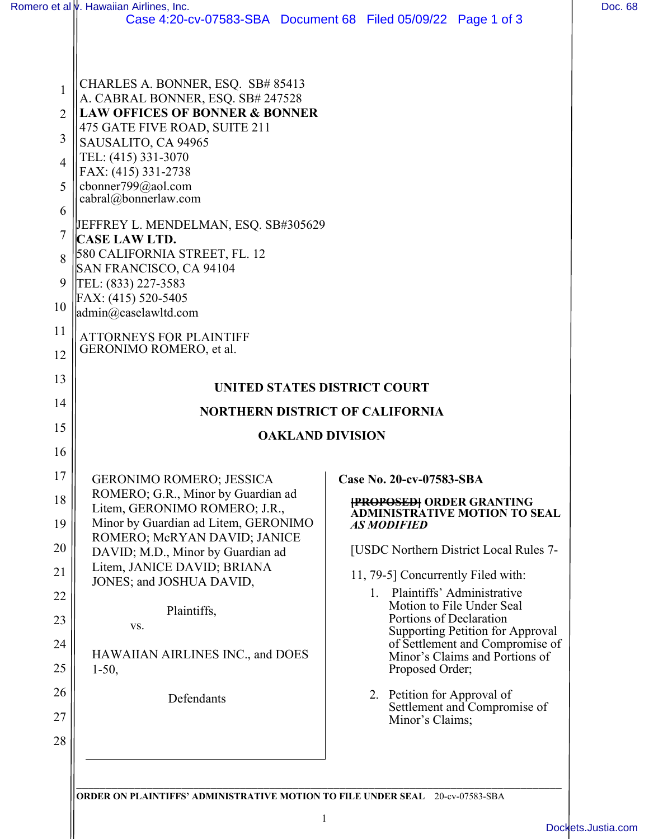|                                                                    | Romero et al <i>v</i> . Hawaiian Airlines, Inc.                                                                                                                                                                                                                                                                                                                                                                                                                                                                                                     | Case 4:20-cv-07583-SBA Document 68 Filed 05/09/22 Page 1 of 3                        | Doc. 68 |
|--------------------------------------------------------------------|-----------------------------------------------------------------------------------------------------------------------------------------------------------------------------------------------------------------------------------------------------------------------------------------------------------------------------------------------------------------------------------------------------------------------------------------------------------------------------------------------------------------------------------------------------|--------------------------------------------------------------------------------------|---------|
| 1<br>2<br>3<br>$\overline{4}$<br>5<br>6<br>7<br>8<br>9<br>10<br>11 | CHARLES A. BONNER, ESQ. SB# 85413<br>A. CABRAL BONNER, ESQ. SB# 247528<br><b>LAW OFFICES OF BONNER &amp; BONNER</b><br>475 GATE FIVE ROAD, SUITE 211<br>SAUSALITO, CA 94965<br>TEL: (415) 331-3070<br>FAX: (415) 331-2738<br>cbonner799@aol.com<br>cabral@bonnerlaw.com<br>JEFFREY L. MENDELMAN, ESQ. SB#305629<br><b>CASE LAW LTD.</b><br>580 CALIFORNIA STREET, FL. 12<br>SAN FRANCISCO, CA 94104<br>TEL: (833) 227-3583<br>FAX: (415) 520-5405<br>$\alpha$ <sup>admin<math>\alpha</math>) caselawltd.com</sup><br><b>ATTORNEYS FOR PLAINTIFF</b> |                                                                                      |         |
| 12<br>13                                                           | GERONIMO ROMERO, et al.                                                                                                                                                                                                                                                                                                                                                                                                                                                                                                                             |                                                                                      |         |
| 14                                                                 | UNITED STATES DISTRICT COURT                                                                                                                                                                                                                                                                                                                                                                                                                                                                                                                        |                                                                                      |         |
| 15                                                                 | <b>NORTHERN DISTRICT OF CALIFORNIA</b>                                                                                                                                                                                                                                                                                                                                                                                                                                                                                                              |                                                                                      |         |
| 16                                                                 | <b>OAKLAND DIVISION</b>                                                                                                                                                                                                                                                                                                                                                                                                                                                                                                                             |                                                                                      |         |
| 17                                                                 |                                                                                                                                                                                                                                                                                                                                                                                                                                                                                                                                                     |                                                                                      |         |
| 18                                                                 | <b>GERONIMO ROMERO; JESSICA</b><br>ROMERO; G.R., Minor by Guardian ad                                                                                                                                                                                                                                                                                                                                                                                                                                                                               | Case No. 20-cv-07583-SBA<br><b>{PROPOSED}</b> ORDER GRANTING                         |         |
| 19                                                                 | Litem, GERONIMO ROMERO; J.R.,<br>Minor by Guardian ad Litem, GERONIMO<br>ROMERO; McRYAN DAVID; JANICE                                                                                                                                                                                                                                                                                                                                                                                                                                               | <b>ADMINISTRATIVE MOTION TO SEAL</b><br><b>AS MODIFIED</b>                           |         |
| 20                                                                 | DAVID; M.D., Minor by Guardian ad                                                                                                                                                                                                                                                                                                                                                                                                                                                                                                                   | [USDC Northern District Local Rules 7-                                               |         |
| 21                                                                 | Litem, JANICE DAVID; BRIANA<br>JONES; and JOSHUA DAVID,                                                                                                                                                                                                                                                                                                                                                                                                                                                                                             | 11, 79-5] Concurrently Filed with:                                                   |         |
| 22                                                                 | Plaintiffs,                                                                                                                                                                                                                                                                                                                                                                                                                                                                                                                                         | 1. Plaintiffs' Administrative<br>Motion to File Under Seal                           |         |
| 23                                                                 | VS.                                                                                                                                                                                                                                                                                                                                                                                                                                                                                                                                                 | Portions of Declaration<br>Supporting Petition for Approval                          |         |
| 24<br>25                                                           | HAWAIIAN AIRLINES INC., and DOES<br>$1-50,$                                                                                                                                                                                                                                                                                                                                                                                                                                                                                                         | of Settlement and Compromise of<br>Minor's Claims and Portions of<br>Proposed Order; |         |
| 26                                                                 |                                                                                                                                                                                                                                                                                                                                                                                                                                                                                                                                                     | 2. Petition for Approval of                                                          |         |
| 27                                                                 | Defendants                                                                                                                                                                                                                                                                                                                                                                                                                                                                                                                                          | Settlement and Compromise of<br>Minor's Claims;                                      |         |
| 28                                                                 |                                                                                                                                                                                                                                                                                                                                                                                                                                                                                                                                                     |                                                                                      |         |
|                                                                    |                                                                                                                                                                                                                                                                                                                                                                                                                                                                                                                                                     |                                                                                      |         |
|                                                                    |                                                                                                                                                                                                                                                                                                                                                                                                                                                                                                                                                     |                                                                                      |         |

**ORDER ON PLAINTIFFS' ADMINISTRATIVE MOTION TO FILE UNDER SEAL** 20-cv-07583-SBA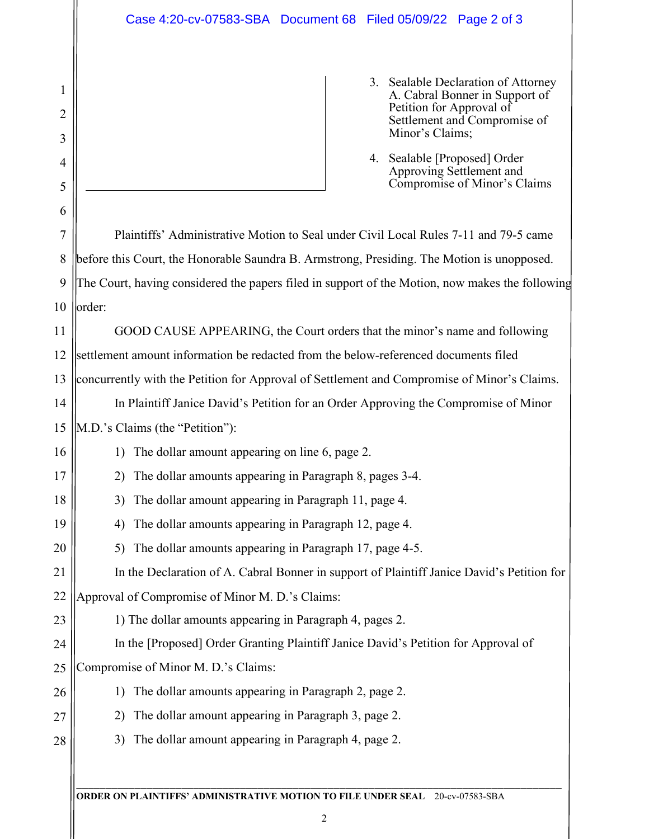1

2

3

4

- 3. Sealable Declaration of Attorney A. Cabral Bonner in Support of Petition for Approval of Settlement and Compromise of Minor's Claims;
- 4. Sealable [Proposed] Order Approving Settlement and Compromise of Minor's Claims

\_\_\_\_\_\_\_\_\_\_\_\_\_\_\_\_\_\_\_\_\_\_\_\_\_\_\_\_\_\_\_\_\_\_\_\_\_\_\_\_\_\_\_\_\_\_\_\_\_\_\_\_\_\_\_\_\_\_\_\_\_\_\_\_\_\_\_\_\_\_\_\_\_\_\_\_\_\_\_\_\_\_\_ **ORDER ON PLAINTIFFS' ADMINISTRATIVE MOTION TO FILE UNDER SEAL** 20-cv-07583-SBA 5 6 7 8 9 10 11 12 13 14 15 16 17 18 19 20 21 22 23 24 25 26 27 28 Plaintiffs' Administrative Motion to Seal under Civil Local Rules 7-11 and 79-5 came before this Court, the Honorable Saundra B. Armstrong, Presiding. The Motion is unopposed. The Court, having considered the papers filed in support of the Motion, now makes the following order: GOOD CAUSE APPEARING, the Court orders that the minor's name and following settlement amount information be redacted from the below-referenced documents filed concurrently with the Petition for Approval of Settlement and Compromise of Minor's Claims. In Plaintiff Janice David's Petition for an Order Approving the Compromise of Minor M.D.'s Claims (the "Petition"): 1) The dollar amount appearing on line 6, page 2. 2) The dollar amounts appearing in Paragraph 8, pages 3-4. 3) The dollar amount appearing in Paragraph 11, page 4. 4) The dollar amounts appearing in Paragraph 12, page 4. 5) The dollar amounts appearing in Paragraph 17, page 4-5. In the Declaration of A. Cabral Bonner in support of Plaintiff Janice David's Petition for Approval of Compromise of Minor M. D.'s Claims: 1) The dollar amounts appearing in Paragraph 4, pages 2. In the [Proposed] Order Granting Plaintiff Janice David's Petition for Approval of Compromise of Minor M. D.'s Claims: 1) The dollar amounts appearing in Paragraph 2, page 2. 2) The dollar amount appearing in Paragraph 3, page 2. 3) The dollar amount appearing in Paragraph 4, page 2.